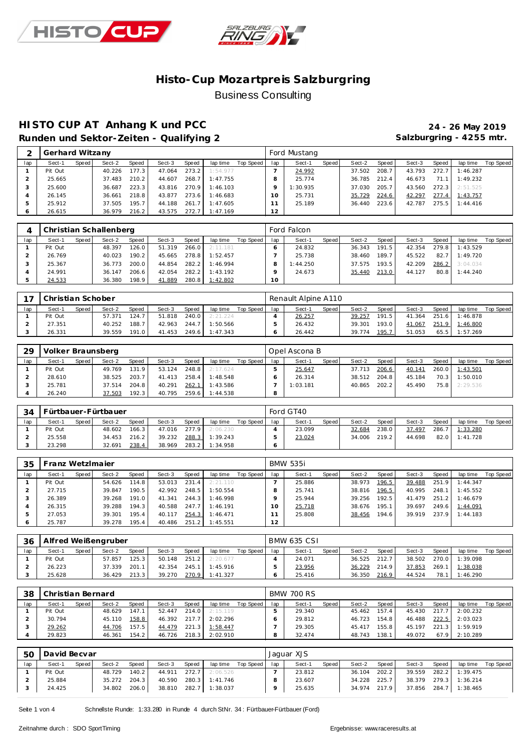



#### **HISTO CUP AT Anhang K und PCC 24 - 26 May 2019** Runden und Sektor-Zeiten - Qualifying 2 **Salzburgring - 4255 mtr.**

| ⌒   | Gerhard Witzany |       |        |        |        |       |          |           |     | Ford Mustang |       |        |       |        |       |          |           |
|-----|-----------------|-------|--------|--------|--------|-------|----------|-----------|-----|--------------|-------|--------|-------|--------|-------|----------|-----------|
| lap | Sect-1          | Speed | Sect-2 | Speed  | Sect-3 | Speed | lap time | Top Speed | lap | Sect-1       | Speed | Sect-2 | Speed | Sect-3 | Speed | lap time | Top Speed |
|     | Pit Out         |       | 40.226 | 177.31 | 47.064 | 273.2 | 1:54.977 |           |     | 24.992       |       | 37.502 | 208.7 | 43.793 | 272.7 | 1:46.287 |           |
|     | 25.665          |       | 37.483 | 210.21 | 44.607 | 268.7 | 1:47.755 |           | 8   | 25.774       |       | 36.785 | 212.4 | 46.673 | 71.1  | 1:49.232 |           |
|     | 25.600          |       | 36.687 | 223.3  | 43.816 | 270.9 | 1:46.103 |           |     | : 30.935     |       | 37.030 | 205.7 | 43.560 | 272.3 | 2:51.525 |           |
|     | 26.145          |       | 36.661 | 218.8  | 43.877 | 273.6 | 1:46.683 |           | 10  | 25.731       |       | 35.729 | 224.6 | 42.297 | 277.4 | 1:43.757 |           |
| -5  | 25.912          |       | 37.505 | 195.7. | 44.188 | 261.7 | 1:47.605 |           |     | 25.189       |       | 36.440 | 223.6 | 42.787 | 275.5 | 1:44.416 |           |
| O   | 26.615          |       | 36.979 | 216.2  | 43.575 | 272.7 | 1:47.169 |           | 12  |              |       |        |       |        |       |          |           |

|     |         |       | Christian Schallenberg |       |        |       |          |           |     | Ford Falcon |       |        |       |        |       |          |           |
|-----|---------|-------|------------------------|-------|--------|-------|----------|-----------|-----|-------------|-------|--------|-------|--------|-------|----------|-----------|
| lap | Sect-1  | Speed | Sect-2                 | Speed | Sect-3 | Speed | lap time | Top Speed | lap | Sect-1      | Speed | Sect-2 | Speed | Sect-3 | Speed | lap time | Top Speed |
|     | Pit Out |       | 48.397                 | 126.0 | 51.319 | 266.0 | 2:11.181 |           |     | 24.832      |       | 36.343 | 191.5 | 42.354 | 279.8 | 1:43.529 |           |
|     | 26.769  |       | 40.023                 | 190.2 | 45.665 | 278.8 | 1:52.457 |           |     | 25.738      |       | 38.460 | 189.7 | 45.522 | 82.7  | 1:49.720 |           |
|     | 25.367  |       | 36.773                 | 200.0 | 44.854 | 282.2 | 1:46.994 |           |     | 1:44.250    |       | 37.575 | 193.5 | 42.209 | 286.2 | 3:04.034 |           |
|     | 24.991  |       | 36.147                 | 206.6 | 42.054 | 282.2 | 1:43.192 |           |     | 24.673      |       | 35.440 | 213.0 | 44.127 | 80.8  | 1:44.240 |           |
|     | 24.533  |       | 36.380                 | 198.9 | 41.889 | 280.8 | 1:42.802 |           | 10  |             |       |        |       |        |       |          |           |

| 7 <sub>7</sub> | Christian Schober |       |        |       |        |       |          |           |     | Renault Alpine A110 |       |        |       |        |              |                |           |
|----------------|-------------------|-------|--------|-------|--------|-------|----------|-----------|-----|---------------------|-------|--------|-------|--------|--------------|----------------|-----------|
| lap            | Sect-1            | Speed | Sect-2 | Speed | Sect-3 | Speed | lap time | Top Speed | lap | Sect-1              | Speed | Sect-2 | Speed | Sect-3 | <b>Speed</b> | lap time       | Top Speed |
|                | Pit Out           |       | 57.371 | 124.7 | 51.818 | 240.0 | 2:21.224 |           |     | 26.257              |       | 39.257 | 191.5 | 41.364 |              | 251.6 1:46.878 |           |
|                | 27.351            |       | 40.252 | 188.7 | 42.963 | 244.7 | 1:50.566 |           |     | 26.432              |       | 39.301 | 193.0 | 41.067 |              | 251.9 1:46.800 |           |
|                | 26.331            |       | 39.559 | 191.0 | 41.453 | 249.6 | 1:47.343 |           |     | 26.442              |       | 39.774 | 195.7 | 51.053 |              | 65.5 1:57.269  |           |

| 29  |         |       | Volker Braunsberg |       |        |       |          |           |     | Opel Ascona B |       |        |       |        |       |          |           |
|-----|---------|-------|-------------------|-------|--------|-------|----------|-----------|-----|---------------|-------|--------|-------|--------|-------|----------|-----------|
| lap | Sect-1  | Speed | Sect-2            | Speed | Sect-3 | Speed | lap time | Top Speed | lap | Sect-1        | Speed | Sect-2 | Speed | Sect-3 | Speed | lap time | Top Speed |
|     | Pit Out |       | 49.769            | 131.9 | 53.124 | 248.8 | 2:17.624 |           |     | 25.647        |       | 37.713 | 206.6 | 40.141 | 260.0 | 1:43.501 |           |
|     | 28.610  |       | 38.525            | 203.7 | 41.413 | 258.4 | 1:48.548 |           |     | 26.314        |       | 38.512 | 204.8 | 45.184 | 70.3  | 1:50.010 |           |
|     | 25.781  |       | 37.514            | 204.8 | 40.291 | 262.1 | 1:43.586 |           |     | 1:03.181      |       | 40.865 | 202.2 | 45.490 | 75.8  | 2:29.536 |           |
|     | 26.240  |       | 37.503            | 192.3 | 40.795 | 259.6 | 1:44.538 |           |     |               |       |        |       |        |       |          |           |

| 34  |         |       | Fürtbauer-Fürtbauer |       |        |       |          |           |     | Ford GT40 |       |        |         |        |       |          |           |
|-----|---------|-------|---------------------|-------|--------|-------|----------|-----------|-----|-----------|-------|--------|---------|--------|-------|----------|-----------|
| lap | Sect-1  | Speed | Sect-2              | Speed | Sect-3 | Speed | lap time | Top Speed | lap | Sect-1    | Speed | Sect-2 | Speed I | Sect-3 | Speed | lap time | Top Speed |
|     | Pit Out |       | 48.602              | 166.3 | 47.016 | 277.9 | 2:06.230 |           |     | 23.099    |       | 32.684 | 238.0   | 37.497 | 286.7 | 1:33.280 |           |
|     | 25.558  |       | 34.453              | 216.2 | 39.232 | 288.3 | 1:39.243 |           |     | 23.024    |       | 34.006 | 219.2   | 44.698 | 82.0  | 1:41.728 |           |
|     | 23.298  |       | 32.691              | 238.4 | 38.969 | 283.2 | 1:34.958 |           |     |           |       |        |         |        |       |          |           |

| 35  | franz WetzImaier |         |        |       |        |       |          |           |     | <b>BMW 535i</b> |       |        |                    |        |       |          |           |
|-----|------------------|---------|--------|-------|--------|-------|----------|-----------|-----|-----------------|-------|--------|--------------------|--------|-------|----------|-----------|
| lap | Sect-1           | Speed I | Sect-2 | Speed | Sect-3 | Speed | lap time | Top Speed | lap | Sect-1          | Speed | Sect-2 | Speed              | Sect-3 | Speed | lap time | Top Speed |
|     | Pit Out          |         | 54.626 | 114.8 | 53.013 | 231.4 | 2:21.110 |           |     | 25.886          |       | 38.973 | 196.5              | 39.488 | 251.9 | 1:44.347 |           |
|     | 27.715           |         | 39.847 | 190.5 | 42.992 | 248.5 | 1:50.554 |           |     | 25.741          |       | 38.816 | 196.5              | 40.995 | 248.1 | 1:45.552 |           |
|     | 26.389           |         | 39.268 | 191.0 | 41.341 | 244.3 | 1:46.998 |           |     | 25.944          |       | 39.256 | 192.5              | 41.479 | 251.2 | 1:46.679 |           |
|     | 26.315           |         | 39.288 | 194.3 | 40.588 | 247.7 | 1:46.191 |           | 10  | 25.718          |       | 38.676 | 195.1 <sub>1</sub> | 39.697 | 249.6 | 1:44.091 |           |
|     | 27.053           |         | 39.301 | 195.4 | 40.117 | 254.3 | 1:46.471 |           |     | 25.808          |       | 38.456 | 194.6              | 39.919 | 237.9 | 1:44.183 |           |
|     | 25.787           |         | 39.278 | 195.4 | 40.486 | 251.2 | 1:45.551 |           | 12  |                 |       |        |                    |        |       |          |           |

| 36  |         |              | Alfred Weißengruber |              |        |       |          |           |     | <b>BMW 635 CSI</b> |       |        |       |        |       |          |           |
|-----|---------|--------------|---------------------|--------------|--------|-------|----------|-----------|-----|--------------------|-------|--------|-------|--------|-------|----------|-----------|
| lap | Sect-1  | <b>Speed</b> | Sect-2              | <b>Speed</b> | Sect-3 | Speed | lap time | Top Speed | lap | Sect-1             | Speed | Sect-2 | Speed | Sect-3 | Speed | lap time | Top Speed |
|     | Pit Out |              | 57.857              | 125.3        | 50.148 | 251.2 | 2:20.677 |           |     | 24.071             |       | 36.525 | 212.7 | 38.502 | 270.0 | 1:39.098 |           |
|     | 26.223  |              | 37.339              | 201.1        | 42.354 | 245.1 | 1:45.916 |           |     | 23.956             |       | 36.229 | 214.9 | 37.853 | 269.  | 1:38.038 |           |
|     | 25.628  |              | 36.429              | 213.3        | 39.270 | 270.9 | 1:41.327 |           |     | 25.416             |       | 36.350 | 216.9 | 44.524 | 78.   | 1:46.290 |           |

| 38  | Christian Bernard |       |        |              |        |       |          |           |     | <b>BMW 700 RS</b> |       |        |        |        |       |          |           |
|-----|-------------------|-------|--------|--------------|--------|-------|----------|-----------|-----|-------------------|-------|--------|--------|--------|-------|----------|-----------|
| lap | Sect-1            | Speed | Sect-2 | <b>Speed</b> | Sect-3 | Speed | lap time | Top Speed | lap | Sect-1            | Speed | Sect-2 | Speed  | Sect-3 | Speed | lap time | Top Speed |
|     | Pit Out           |       | 48.629 | 147.1        | 52.447 | 214.0 | 2:15.119 |           |     | 29.340            |       | 45.462 | 157.4  | 45.430 | 217.7 | 2:00.232 |           |
|     | 30.794            |       | 45.110 | 158.8        | 46.392 | 217.7 | 2:02.296 |           |     | 29.812            |       | 46.723 | 154.8  | 46.488 | 222.5 | 2:03.023 |           |
|     | 29.262            |       | 44.706 | 157.5        | 44.479 | 221.3 | 1:58.447 |           |     | 29.305            |       | 45.417 | 155.81 | 45.197 | 221.3 | 1:59.919 |           |
|     | 29.823            |       | 46.361 | 154.2        | 46.726 | 218.3 | 2:02.910 |           | 8   | 32.474            |       | 48.743 | 138.1  | 49.072 | 67.9  | 2:10.289 |           |

| 50  | David Becvar |       |        |              |        |       |          |           |     | Jaquar XJS |       |        |       |        |       |          |           |
|-----|--------------|-------|--------|--------------|--------|-------|----------|-----------|-----|------------|-------|--------|-------|--------|-------|----------|-----------|
| lap | Sect-1       | Speed | Sect-2 | <b>Speed</b> | Sect-3 | Speed | lap time | Top Speed | lap | Sect-1     | Speed | Sect-2 | Speed | Sect-3 | Speed | lap time | Top Speed |
|     | Pit Out      |       | 48.729 | 140.2        | 44.911 | 272.7 | 2:06.526 |           |     | 23.812     |       | 36.104 | 202.2 | 39.559 | 282.2 | 1:39.475 |           |
|     | 25.884       |       | 35.272 | 204.3        | 40.590 | 280.3 | 1:41.746 |           |     | 23.607     |       | 34.228 | 225.7 | 38.379 | 279.3 | 1:36.214 |           |
|     | 24.425       |       | 34.802 | 206.0        | 38.810 | 282.7 | 1:38.037 |           |     | 25.635     |       | 34.974 | 217.9 | 37.856 | 284.7 | 1:38.465 |           |

Seite 1 von 4 Schnellste Runde: 1:33.280 in Runde 4 durch StNr. 34 : Fürtbauer-Fürtbauer (Ford)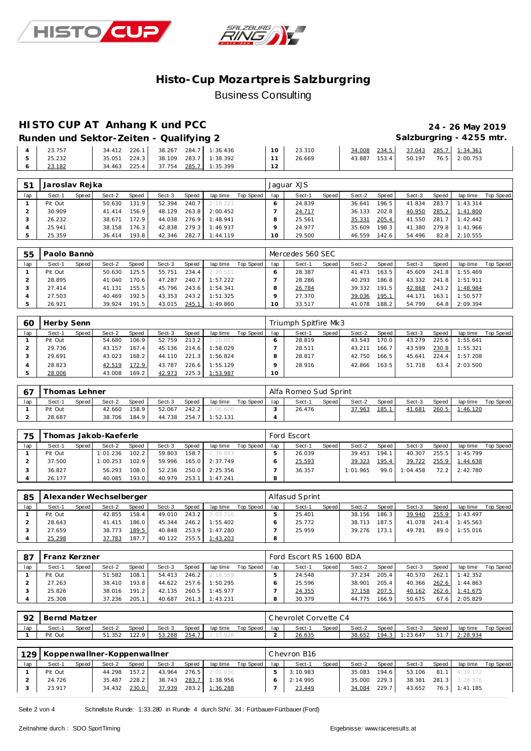



#### **HISTO CUP AT Anhang K und PCC 24 - 26 May 2019**

Runden und Sektor-Zeiten - Qualifying 2 **Salzburgring - 4255 mtr.** 

| 23.757 | 226.1<br>34.412  | 284.7 1:36.436<br>38.267     | $10^{-1}$ | 23.310 | 234.5<br>34.008 | 285.7<br>37.043 | 1:34.361 |
|--------|------------------|------------------------------|-----------|--------|-----------------|-----------------|----------|
| 25.232 | 224.3<br>35.051  | 283.7 1:38.392<br>38.109     |           | 26.669 | 153.4<br>43.887 | 76.5<br>50.197  | 2:00.753 |
| 23.182 | 225.41<br>34.463 | 285.7<br>71:35.399<br>37.754 |           |        |                 |                 |          |

| 51  | Jaroslav Rejka |       |        |       |        |       |          |           |     | Jaquar XJS |       |        |        |        |       |          |           |
|-----|----------------|-------|--------|-------|--------|-------|----------|-----------|-----|------------|-------|--------|--------|--------|-------|----------|-----------|
| lap | Sect-1         | Speed | Sect-2 | Speed | Sect-3 | Speed | lap time | Top Speed | lap | Sect-1     | Speed | Sect-2 | Speed  | Sect-3 | Speed | lap time | Top Speed |
|     | Pit Out        |       | 50.630 | 131.9 | 52.394 | 240.7 | 2:18.221 |           |     | 24.839     |       | 36.641 | 196.51 | 41.834 | 283.7 | 1:43.314 |           |
|     | 30.909         |       | 41.414 | 156.9 | 48.129 | 263.8 | 2:00.452 |           |     | 24.717     |       | 36.133 | 202.8  | 40.950 | 285.2 | 1:41.800 |           |
|     | 26.232         |       | 38.671 | 172.9 | 44.038 | 276.9 | 1:48.941 |           |     | 25.561     |       | 35.331 | 205.4  | 41.550 | 281.7 | 1:42.442 |           |
|     | 25.941         |       | 38.158 | '76.3 | 42.838 | 279.3 | 1:46.937 |           |     | 24.977     |       | 35.609 | 198.31 | 41.380 | 279.8 | 1:41.966 |           |
|     | 25.359         |       | 36.414 | 193.8 | 42.346 | 282.7 | 1:44.119 |           | 10  | 29.500     |       | 46.559 | 142.6  | 54.496 | 82.8  | 2:10.555 |           |

| 55  | Paolo Bannò |         |        |       |        |       |          |           |     | Mercedes 560 SEC |       |        |       |        |       |          |           |
|-----|-------------|---------|--------|-------|--------|-------|----------|-----------|-----|------------------|-------|--------|-------|--------|-------|----------|-----------|
| lap | Sect-1      | Speed I | Sect-2 | Speed | Sect-3 | Speed | lap time | Top Speed | lap | Sect-1           | Speed | Sect-2 | Speed | Sect-3 | Speed | lap time | Top Speed |
|     | Pit Out     |         | 50.630 | 125.5 | 55.751 | 234.4 | 2:20.511 |           |     | 28.387           |       | 41.473 | 163.5 | 45.609 | 241.8 | 1:55.469 |           |
|     | 28.895      |         | 41.040 | 170.6 | 47.287 | 240.7 | 1:57.222 |           |     | 28.286           |       | 40.293 | 186.8 | 43.332 | 241.8 | 1:51.911 |           |
|     | 27.414      |         | 41.131 | 155.5 | 45.796 | 243.6 | 1:54.341 |           |     | 26.784           |       | 39.332 | 191.5 | 42.868 | 243.2 | 1:48.984 |           |
|     | 27.503      |         | 40.469 | 192.5 | 43.353 | 243.2 | 1:51.325 |           |     | 27.370           |       | 39.036 | 195.1 | 44.171 | 163.1 | 1:50.577 |           |
|     | 26.921      |         | 39.924 | 191.5 | 43.015 | 245.1 | 1:49.860 |           | 10  | 33.517           |       | 41.078 | 188.2 | 54.799 | 64.8  | 2:09.394 |           |

| 60  | Herby Senn |         |        |       |        |       |          |           |        | Triumph Spitfire Mk3 |       |        |       |        |       |          |           |
|-----|------------|---------|--------|-------|--------|-------|----------|-----------|--------|----------------------|-------|--------|-------|--------|-------|----------|-----------|
| lap | Sect-1     | Speed I | Sect-2 | Speed | Sect-3 | Speed | lap time | Top Speed | lap    | Sect-1               | Speed | Sect-2 | Speed | Sect-3 | Speed | lap time | Top Speed |
|     | Pit Out    |         | 54.680 | 106.9 | 52.759 | 213.2 | 2:20.883 |           |        | 28.819               |       | 43.543 | 170.0 | 43.279 | 225.6 | 1:55.641 |           |
|     | 29.736     |         | 43.157 | 167.4 | 45.136 | 214.6 | 1:58.029 |           |        | 28.511               |       | 43.211 | 166.7 | 43.599 | 230.8 | 1:55.321 |           |
|     | 29.691     |         | 43.023 | 168.2 | 44.110 | 221.3 | 1:56.824 |           |        | 28.817               |       | 42.750 | 166.5 | 45.641 | 224.4 | 1:57.208 |           |
|     | 28.823     |         | 42.519 | 172.9 | 43.787 | 226.6 | 1:55.129 |           |        | 28.916               |       | 42.866 | 163.5 | 51.718 | 63.4  | 2:03.500 |           |
|     | 28.006     |         | 43.008 | 169.2 | 42.973 | 225.3 | 1:53.987 |           | $10-1$ |                      |       |        |       |        |       |          |           |

|     | [homas Lehner] |              |        |       |        |       |          |           |     | Alfa Romeo Sud Sprint |       |        |       |        |       |          |           |
|-----|----------------|--------------|--------|-------|--------|-------|----------|-----------|-----|-----------------------|-------|--------|-------|--------|-------|----------|-----------|
| lap | Sect-1         | <b>Speed</b> | Sect-2 | Speed | Sect-3 | Speed | lap time | Top Speed | lap | Sect-1                | Speed | Sect-2 | Speed | Sect-3 | Speed | lap time | Top Speed |
|     | Pit Out        |              | 42.660 | 158.9 | 52.067 | 242.2 | 2:06.600 |           |     | 26.476                |       | 37.963 | 185.1 | 41.681 | 260.5 | 1:46.120 |           |
|     | 28.687         |              | 38.706 | 184.9 | 44.738 | 254.7 | 1:52.131 |           |     |                       |       |        |       |        |       |          |           |

| 75  |         |         | homas Jakob-Kaeferle |              |        |       |          |             |     | Ford Escort |       |          |       |               |       |                |           |
|-----|---------|---------|----------------------|--------------|--------|-------|----------|-------------|-----|-------------|-------|----------|-------|---------------|-------|----------------|-----------|
| lap | Sect-1  | Speed I | Sect-2               | <b>Speed</b> | Sect-3 | Speed | lap time | Top Speed I | lap | Sect-1      | Speed | Sect-2   | Speed | Sect-3        | Speed | lap time       | Top Speed |
|     | Pit Out |         | 1:01.236             | 102.2        | 59.803 | 158.7 | 2:36.883 |             |     | 26.039      |       | 39.453   | 194.1 | 40.307        |       | 255.5 1:45.799 |           |
|     | 37.500  |         | 1:00.253             | 102.9        | 59.996 | 165.0 | 2:37.749 |             |     | 25.593      |       | 39.323   | 195.4 | 39.722        |       | 255.9 1:44.638 |           |
|     | 36.827  |         | 56.293               | 108.01       | 52.236 | 250.0 | 2:25.356 |             |     | 36.357      |       | 1:01.965 |       | 99.0 1:04.458 |       | 72.2 2:42.780  |           |
|     | 26.177  |         | 40.085               | 193.0        | 40.979 | 253.1 | 1:47.241 |             | o   |             |       |          |       |               |       |                |           |

| 85  |         |       | Alexander Wechselberger |        |        |       |          |           |     | Alfasud Sprint |         |        |       |        |       |          |           |
|-----|---------|-------|-------------------------|--------|--------|-------|----------|-----------|-----|----------------|---------|--------|-------|--------|-------|----------|-----------|
| lap | Sect-1  | Speed | Sect-2                  | Speed  | Sect-3 | Speed | lap time | Top Speed | lap | Sect-1         | Speed I | Sect-2 | Speed | Sect-3 | Speed | lap time | Top Speed |
|     | Pit Out |       | 42.855                  | 158.4  | 49.010 | 243.2 | 2:03.716 |           |     | 25.401         |         | 38.156 | 186.3 | 39.940 | 255.9 | 1:43.497 |           |
|     | 28.643  |       | 41.415                  | 186.0  | 45.344 | 246.2 | 1:55.402 |           |     | 25.772         |         | 38.713 | 187.5 | 41.078 | 241.4 | 1:45.563 |           |
|     | 27.659  |       | 38.773                  | 189.51 | 40.848 | 253.9 | 1:47.280 |           |     | 25.959         |         | 39.276 | 173.1 | 49.781 | 89.0  | 1:55.016 |           |
|     | 25.298  |       | 37.783                  | 187.7  | 40.122 | 255.5 | 1:43.203 |           |     |                |         |        |       |        |       |          |           |

| -87 | Franz Kerzner |         |        |              |        |       |          |           |     | Ford Escort RS 1600 BDA |       |        |       |        |       |          |           |
|-----|---------------|---------|--------|--------------|--------|-------|----------|-----------|-----|-------------------------|-------|--------|-------|--------|-------|----------|-----------|
| lap | Sect-1        | Speed I | Sect-2 | <b>Speed</b> | Sect-3 | Speed | lap time | Top Speed | lap | Sect-1                  | Speed | Sect-2 | Speed | Sect-3 | Speed | lap time | Top Speed |
|     | Pit Out       |         | 51.582 | 108.1        | 54.413 | 246.2 | 2:18.559 |           |     | 24.548                  |       | 37.234 | 205.4 | 40.570 | 262.1 | 1:42.352 |           |
|     | 27.263        |         | 38.410 | 193.8        | 44.622 | 257.6 | 1:50.295 |           |     | 25.596                  |       | 38.901 | 205.4 | 40.366 | 262.6 | 1:44.863 |           |
|     | 25.826        |         | 38.016 | 191.2        | 42.135 | 260.5 | 1:45.977 |           |     | 24.355                  |       | 37.158 | 207.5 | 40.162 | 262.6 | 1:41.675 |           |
|     | 25.308        |         | 37.236 | 205.1        | 40.687 | 261.3 | 1:43.231 |           |     | 30.379                  |       | 44.775 | 166.9 | 50.675 | 67.6  | 2:05.829 |           |

| . O^ | Bernd Matzer |       |        |              |        |       |          |           |     | Chevrolet Corvette C4 |       |        |       |          |       |          |           |
|------|--------------|-------|--------|--------------|--------|-------|----------|-----------|-----|-----------------------|-------|--------|-------|----------|-------|----------|-----------|
| lap  | Sect-1       | Speed | Sect-2 | <b>Speed</b> | Sect-3 | Speed | lap time | Top Speed | lap | Sect-1                | Speed | Sect-2 | Speed | Sect-3   | Speed | lap time | Top Speed |
|      | Pit Out      |       | 51.352 | 122.9        | 53.288 | 254.  | . 928    |           |     | 26.635                |       | 38.652 | 194.3 | 1:23.647 | 51.   | : 28.934 |           |

| 129 |         |       | Koppenwallner-Koppenwallner |       |        |       |                |           |     | Chevron B16 |       |        |        |        |       |                |           |
|-----|---------|-------|-----------------------------|-------|--------|-------|----------------|-----------|-----|-------------|-------|--------|--------|--------|-------|----------------|-----------|
| lap | Sect-1  | Speed | Sect-2                      | Speed | Sect-3 | Speed | lap time       | Top Speed | lap | Sect-1      | Speed | Sect-2 | Speed  | Sect-3 | Speed | lap time       | Top Speed |
|     | Pit Out |       | 44.298                      | 157.2 | 43.964 | 276.5 | 2:01.036       |           | 5.  | 3:10.983    |       | 35.083 | 194.61 | 53.106 | 81.1  | 4:39.172       |           |
|     | 24.726  |       | 35.487                      | 228.2 | 38.743 | 283.7 | 1:38.956       |           |     | 2:14.995    |       | 35.000 | 229.3  | 38.381 |       | 281.3 3:28.376 |           |
|     | 23.917  |       | 34.432                      | 230.0 | 37.939 |       | 283.2 1:36.288 |           |     | 23.449      |       | 34.084 | 229.7  | 43.652 |       | 76.3 1:41.185  |           |

Seite 2 von 4 Schnellste Runde: 1:33.280 in Runde 4 durch StNr. 34 : Fürtbauer-Fürtbauer (Ford)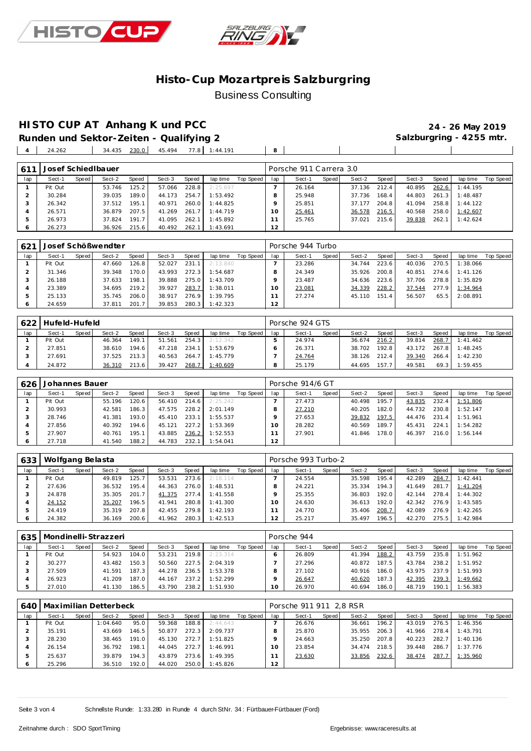



**HISTO CUP AT Anhang K und PCC 24 - 26 May 2019**

**Runden und Sektor-Zeiten - Qualifying 2** 24.262 34.435 230.0 45.494 77.8 1:44.191 **8**

| 61 <sup>′</sup> | Josef Schied Ibauer |       |        |       |        |       |          |           |     | Porsche 911 Carrera 3.0 |       |        |       |        |       |          |           |
|-----------------|---------------------|-------|--------|-------|--------|-------|----------|-----------|-----|-------------------------|-------|--------|-------|--------|-------|----------|-----------|
| lap             | Sect-1              | Speed | Sect-2 | Speed | Sect-3 | Speed | lap time | Top Speed | lap | Sect-1                  | Speed | Sect-2 | Speed | Sect-3 | Speed | lap time | Top Speed |
|                 | Pit Out             |       | 53.746 | 125.2 | 57.066 | 228.8 | 2:25.697 |           |     | 26.164                  |       | 37.136 | 212.4 | 40.895 | 262.6 | 1:44.195 |           |
|                 | 30.284              |       | 39.035 | 189.0 | 44.173 | 254.7 | 1:53.492 |           | 8   | 25.948                  |       | 37.736 | 168.4 | 44.803 | 261.3 | 1:48.487 |           |
| 3               | 26.342              |       | 37.512 | 195.1 | 40.971 | 260.0 | 1:44.825 |           |     | 25.851                  |       | 37.177 | 204.8 | 41.094 | 258.8 | 1:44.122 |           |
| 4               | 26.571              |       | 36.879 | 207.5 | 41.269 | 261.7 | 1:44.719 |           | 10  | 25.461                  |       | 36.578 | 216.5 | 40.568 | 258.0 | 1:42.607 |           |
| 5               | 26.973              |       | 37.824 | 191.7 | 41.095 | 262.1 | 1:45.892 |           |     | 25.765                  |       | 37.021 | 215.6 | 39.838 | 262.1 | 1:42.624 |           |
|                 | 26.273              |       | 36.926 | 215.6 | 40.492 | 262.1 | 1:43.691 |           | 12  |                         |       |        |       |        |       |          |           |

| 621 |         |       | Josef Schößwendter |       |        |       |          |           |     | Porsche 944 Turbo |       |        |       |        |       |          |           |
|-----|---------|-------|--------------------|-------|--------|-------|----------|-----------|-----|-------------------|-------|--------|-------|--------|-------|----------|-----------|
| lap | Sect-1  | Speed | Sect-2             | Speed | Sect-3 | Speed | lap time | Top Speed | lap | Sect-1            | Speed | Sect-2 | Speed | Sect-3 | Speed | lap time | Top Speed |
|     | Pit Out |       | 47.660             | 126.8 | 52.027 | 231.1 | 2:13.840 |           |     | 23.286            |       | 34.744 | 223.6 | 40.036 | 270.5 | 1:38.066 |           |
|     | 31.346  |       | 39.348             | 170.0 | 43.993 | 272.3 | 1:54.687 |           |     | 24.349            |       | 35.926 | 200.8 | 40.851 | 274.6 | 1:41.126 |           |
|     | 26.188  |       | 37.633             | 198.1 | 39.888 | 275.0 | 1:43.709 |           |     | 23.487            |       | 34.636 | 223.6 | 37.706 | 278.8 | 1:35.829 |           |
|     | 23.389  |       | 34.695             | 219.2 | 39.927 | 283.7 | 1:38.011 |           | 10  | 23.081            |       | 34.339 | 228.2 | 37.544 | 277.9 | 1:34.964 |           |
|     | 25.133  |       | 35.745             | 206.0 | 38.917 | 276.9 | 1:39.795 |           |     | 27.274            |       | 45.110 | 151.4 | 56.507 | 65.5  | 2:08.891 |           |
|     | 24.659  |       | 37.811             | 201.7 | 39.853 | 280.3 | 1:42.323 |           | 12  |                   |       |        |       |        |       |          |           |

| 622 | Hufeld-Hufeld |       |        |              |        |       |          |           |     | Porsche 924 GTS |       |        |       |        |       |          |           |
|-----|---------------|-------|--------|--------------|--------|-------|----------|-----------|-----|-----------------|-------|--------|-------|--------|-------|----------|-----------|
| lap | Sect-1        | Speed | Sect-2 | <b>Speed</b> | Sect-3 | Speed | lap time | Top Speed | lap | Sect-1          | Speed | Sect-2 | Speed | Sect-3 | Speed | lap time | Top Speed |
|     | Pit Out       |       | 46.364 | 149.1        | 51.561 | 254.3 | 2:12.342 |           |     | 24.974          |       | 36.674 | 216.2 | 39.814 | 268.7 | 1:41.462 |           |
|     | 27.851        |       | 38.610 | 194.6        | 47.218 | 234.  | 1:53.679 |           |     | 26.371          |       | 38.702 | 192.8 | 43.172 | 267.8 | 1:48.245 |           |
|     | 27.691        |       | 37.525 | 213.3        | 40.563 | 264.7 | 1:45.779 |           |     | 24.764          |       | 38.126 | 212.4 | 39.340 | 266.4 | 1:42.230 |           |
|     | 24.872        |       | 36.310 | 213.6        | 39.427 | 268.7 | 1:40.609 |           |     | 25.179          |       | 44.695 | 157.7 | 49.581 | 69.3  | 1:59.455 |           |

| 626 | Johannes Bauer |       |        |                    |        |       |          |           |                | Porsche 914/6 GT |       |        |       |        |       |          |           |
|-----|----------------|-------|--------|--------------------|--------|-------|----------|-----------|----------------|------------------|-------|--------|-------|--------|-------|----------|-----------|
| lap | Sect-1         | Speed | Sect-2 | Speed              | Sect-3 | Speed | lap time | Top Speed | lap            | Sect-1           | Speed | Sect-2 | Speed | Sect-3 | Speed | lap time | Top Speed |
|     | Pit Out        |       | 55.196 | 120.6              | 56.410 | 214.6 | 2:25.242 |           |                | 27.473           |       | 40.498 | 195.7 | 43.835 | 232.4 | 1:51.806 |           |
|     | 30.993         |       | 42.581 | 186.3              | 47.575 | 228.2 | 2:01.149 |           |                | 27.210           |       | 40.205 | 182.0 | 44.732 | 230.8 | 1:52.147 |           |
|     | 28.746         |       | 41.381 | 193.0 <sub>1</sub> | 45.410 | 233.1 | 1:55.537 |           |                | 27.653           |       | 39.832 | 197.5 | 44.476 | 231.4 | 1:51.961 |           |
|     | 27.856         |       | 40.392 | 194.6              | 45.121 | 227.2 | 1:53.369 |           |                | 28.282           |       | 40.569 | 189.7 | 45.431 | 224.7 | 1:54.282 |           |
|     | 27.907         |       | 40.761 | 195.1              | 43.885 | 236.2 | 1:52.553 |           |                | 27.901           |       | 41.846 | 178.0 | 46.397 | 216.0 | 1:56.144 |           |
|     | 27.718         |       | 41.540 | 188.2              | 44.783 | 232.1 | 1:54.041 |           | $\overline{2}$ |                  |       |        |       |        |       |          |           |

| 633 | Wolfgang Belasta |       |        |              |        |       |          |           |          | Porsche 993 Turbo-2 |       |        |       |        |       |          |           |
|-----|------------------|-------|--------|--------------|--------|-------|----------|-----------|----------|---------------------|-------|--------|-------|--------|-------|----------|-----------|
| lap | Sect-1           | Speed | Sect-2 | <b>Speed</b> | Sect-3 | Speed | lap time | Top Speed | lap      | Sect-1              | Speed | Sect-2 | Speed | Sect-3 | Speed | lap time | Top Speed |
|     | Pit Out          |       | 49.819 | 125.7        | 53.531 | 273.6 | 2:18.114 |           |          | 24.554              |       | 35.598 | 195.4 | 42.289 | 284.7 | 1:42.441 |           |
|     | 27.636           |       | 36.532 | 195.4.       | 44.363 | 276.0 | 1:48.531 |           |          | 24.221              |       | 35.334 | 194.3 | 41.649 | 281.7 | 1:41.204 |           |
|     | 24.878           |       | 35.305 | 201.7        | 41.375 | 277.4 | 1:41.558 |           |          | 25.355              |       | 36.803 | 192.0 | 42.144 | 278.4 | 1:44.302 |           |
|     | 24.152           |       | 35.207 | 196.5        | 41.941 | 280.8 | 1:41.300 |           | $10^{-}$ | 24.630              |       | 36.613 | 192.0 | 42.342 | 276.9 | 1:43.585 |           |
|     | 24.419           |       | 35.319 | 207.8        | 42.455 | 279.8 | 1:42.193 |           |          | 24.770              |       | 35.406 | 208.7 | 42.089 | 276.9 | 1:42.265 |           |
| O   | 24.382           |       | 36.169 | 200.6        | 41.962 | 280.3 | 1:42.513 |           | 12       | 25.217              |       | 35.497 | 196.5 | 42.270 | 275.5 | 1:42.984 |           |

|     | 635   Mondinelli-Strazzeri |       |        |        |        | Porsche 944 |           |           |     |        |         |        |       |        |       |          |           |
|-----|----------------------------|-------|--------|--------|--------|-------------|-----------|-----------|-----|--------|---------|--------|-------|--------|-------|----------|-----------|
| lap | Sect-1                     | Speed | Sect-2 | Speed  | Sect-3 | Speed       | lap time  | Top Speed | lap | Sect-1 | Speed ! | Sect-2 | Speed | Sect-3 | Speed | lap time | Top Speed |
|     | Pit Out                    |       | 54.923 | 104.0  | 53.231 | 219.8       | 2: 23.314 |           |     | 26.809 |         | 41.394 | 188.2 | 43.759 | 235.8 | 1:51.962 |           |
|     | 30.277                     |       | 43.482 | 150.3  | 50.560 | 227.5       | 2:04.319  |           |     | 27.296 |         | 40.872 | 187.5 | 43.784 | 238.2 | 1:51.952 |           |
|     | 27.509                     |       | 41.591 | 187.31 | 44.278 | 236.5       | 1:53.378  |           |     | 27.102 |         | 40.916 | 186.0 | 43.975 | 237.9 | 1:51.993 |           |
|     | 26.923                     |       | 41.209 | 187.0  | 44.167 | 237.2       | 1:52.299  |           |     | 26.647 |         | 40.620 | 187.3 | 42.395 | 239.3 | 1:49.662 |           |
|     | 27.010                     |       | 41.130 | 186.5  | 43.790 | 238.2       | 1:51.930  |           | 0   | 26.970 |         | 40.694 | 186.0 | 48.719 | 190.7 | 1:56.383 |           |

|                | 640   Maximilian Detterbeck |       |          |       |        |       |          |           |     | Porsche 911 911 2.8 RSR |       |        |         |        |       |          |           |  |  |  |
|----------------|-----------------------------|-------|----------|-------|--------|-------|----------|-----------|-----|-------------------------|-------|--------|---------|--------|-------|----------|-----------|--|--|--|
| lap            | Sect-1                      | Speed | Sect-2   | Speed | Sect-3 | Speed | lap time | Top Speed | lap | Sect-1                  | Speed | Sect-2 | Speed I | Sect-3 | Speed | lap time | Top Speed |  |  |  |
|                | Pit Out                     |       | 1:04.640 | 95.0  | 59.368 | 188.8 | 2:44.643 |           |     | 26.676                  |       | 36.661 | 196.2   | 43.019 | 276.5 | 1:46.356 |           |  |  |  |
|                | 35.191                      |       | 43.669   | 146.5 | 50.877 | 272.3 | 2:09.737 |           |     | 25.870                  |       | 35.955 | 206.3   | 41.966 | 278.4 | 1:43.791 |           |  |  |  |
|                | 28.230                      |       | 38.465   | 191.0 | 45.130 | 272.7 | 1:51.825 |           |     | 24.663                  |       | 35.250 | 207.8   | 40.223 | 282.7 | 1:40.136 |           |  |  |  |
| $\overline{A}$ | 26.154                      |       | 36.792   | 198.1 | 44.045 | 272.7 | 1:46.991 |           |     | 23.854                  |       | 34.474 | 218.5   | 39.448 | 286.7 | 1:37.776 |           |  |  |  |
|                | 25.637                      |       | 39.879   | 194.3 | 43.879 | 273.6 | 1:49.395 |           |     | 23.630                  |       | 33.856 | 232.6   | 38.474 | 287.7 | 1:35.960 |           |  |  |  |
|                | 25.296                      |       | 36.510   | 192.0 | 44.020 | 250.0 | 1:45.826 |           | 12  |                         |       |        |         |        |       |          |           |  |  |  |